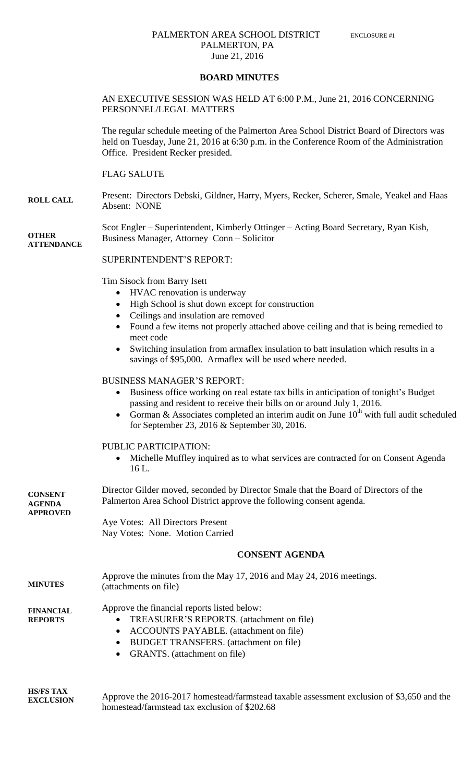## PALMERTON AREA SCHOOL DISTRICT ENCLOSURE #1 PALMERTON, PA June 21, 2016

#### **BOARD MINUTES**

### AN EXECUTIVE SESSION WAS HELD AT 6:00 P.M., June 21, 2016 CONCERNING PERSONNEL/LEGAL MATTERS

The regular schedule meeting of the Palmerton Area School District Board of Directors was held on Tuesday, June 21, 2016 at 6:30 p.m. in the Conference Room of the Administration Office. President Recker presided.

# FLAG SALUTE

**ROLL CALL** Present: Directors Debski, Gildner, Harry, Myers, Recker, Scherer, Smale, Yeakel and Haas Absent: NONE

**OTHER ATTENDANCE** Scot Engler – Superintendent, Kimberly Ottinger – Acting Board Secretary, Ryan Kish, Business Manager, Attorney Conn – Solicitor

SUPERINTENDENT'S REPORT:

Tim Sisock from Barry Isett

- HVAC renovation is underway
- High School is shut down except for construction
- Ceilings and insulation are removed
- Found a few items not properly attached above ceiling and that is being remedied to meet code
- Switching insulation from armaflex insulation to batt insulation which results in a savings of \$95,000. Armaflex will be used where needed.

# BUSINESS MANAGER'S REPORT:

- Business office working on real estate tax bills in anticipation of tonight's Budget passing and resident to receive their bills on or around July 1, 2016.
- Gorman & Associates completed an interim audit on June  $10^{th}$  with full audit scheduled for September 23, 2016 & September 30, 2016.

#### PUBLIC PARTICIPATION:

 Michelle Muffley inquired as to what services are contracted for on Consent Agenda 16 L.

| <b>CONSENT</b><br><b>AGENDA</b><br><b>APPROVED</b> | Director Gilder moved, seconded by Director Smale that the Board of Directors of the<br>Palmerton Area School District approve the following consent agenda.                                                                                                   |  |
|----------------------------------------------------|----------------------------------------------------------------------------------------------------------------------------------------------------------------------------------------------------------------------------------------------------------------|--|
|                                                    | Aye Votes: All Directors Present                                                                                                                                                                                                                               |  |
|                                                    | Nay Votes: None. Motion Carried                                                                                                                                                                                                                                |  |
|                                                    | <b>CONSENT AGENDA</b>                                                                                                                                                                                                                                          |  |
| <b>MINUTES</b>                                     | Approve the minutes from the May 17, 2016 and May 24, 2016 meetings.<br>(attachments on file)                                                                                                                                                                  |  |
| <b>FINANCIAL</b><br><b>REPORTS</b>                 | Approve the financial reports listed below:<br>TREASURER'S REPORTS. (attachment on file)<br>$\bullet$<br><b>ACCOUNTS PAYABLE.</b> (attachment on file)<br>٠<br><b>BUDGET TRANSFERS.</b> (attachment on file)<br>٠<br>GRANTS. (attachment on file)<br>$\bullet$ |  |
|                                                    |                                                                                                                                                                                                                                                                |  |

**HS/FS TAX EXCLUSION** Approve the 2016-2017 homestead/farmstead taxable assessment exclusion of \$3,650 and the homestead/farmstead tax exclusion of \$202.68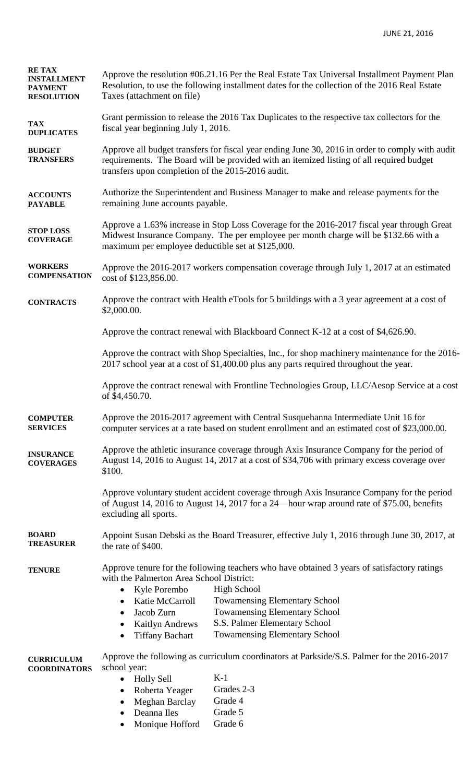| <b>RETAX</b><br><b>INSTALLMENT</b><br><b>PAYMENT</b><br><b>RESOLUTION</b> | Approve the resolution #06.21.16 Per the Real Estate Tax Universal Installment Payment Plan<br>Resolution, to use the following installment dates for the collection of the 2016 Real Estate<br>Taxes (attachment on file)                       |                                                                                                                                                                                                                                                                            |  |
|---------------------------------------------------------------------------|--------------------------------------------------------------------------------------------------------------------------------------------------------------------------------------------------------------------------------------------------|----------------------------------------------------------------------------------------------------------------------------------------------------------------------------------------------------------------------------------------------------------------------------|--|
| <b>TAX</b><br><b>DUPLICATES</b>                                           | fiscal year beginning July 1, 2016.                                                                                                                                                                                                              | Grant permission to release the 2016 Tax Duplicates to the respective tax collectors for the                                                                                                                                                                               |  |
| <b>BUDGET</b><br><b>TRANSFERS</b>                                         | Approve all budget transfers for fiscal year ending June 30, 2016 in order to comply with audit<br>requirements. The Board will be provided with an itemized listing of all required budget<br>transfers upon completion of the 2015-2016 audit. |                                                                                                                                                                                                                                                                            |  |
| <b>ACCOUNTS</b><br><b>PAYABLE</b>                                         | Authorize the Superintendent and Business Manager to make and release payments for the<br>remaining June accounts payable.                                                                                                                       |                                                                                                                                                                                                                                                                            |  |
| <b>STOP LOSS</b><br><b>COVERAGE</b>                                       | Approve a 1.63% increase in Stop Loss Coverage for the 2016-2017 fiscal year through Great<br>Midwest Insurance Company. The per employee per month charge will be \$132.66 with a<br>maximum per employee deductible set at \$125,000.          |                                                                                                                                                                                                                                                                            |  |
| <b>WORKERS</b><br><b>COMPENSATION</b>                                     | Approve the 2016-2017 workers compensation coverage through July 1, 2017 at an estimated<br>cost of \$123,856.00.                                                                                                                                |                                                                                                                                                                                                                                                                            |  |
| <b>CONTRACTS</b>                                                          | \$2,000.00.                                                                                                                                                                                                                                      | Approve the contract with Health eTools for 5 buildings with a 3 year agreement at a cost of                                                                                                                                                                               |  |
|                                                                           |                                                                                                                                                                                                                                                  | Approve the contract renewal with Blackboard Connect K-12 at a cost of \$4,626.90.                                                                                                                                                                                         |  |
|                                                                           |                                                                                                                                                                                                                                                  | Approve the contract with Shop Specialties, Inc., for shop machinery maintenance for the 2016-<br>2017 school year at a cost of \$1,400.00 plus any parts required throughout the year.                                                                                    |  |
|                                                                           | of \$4,450.70.                                                                                                                                                                                                                                   | Approve the contract renewal with Frontline Technologies Group, LLC/Aesop Service at a cost                                                                                                                                                                                |  |
| <b>COMPUTER</b><br><b>SERVICES</b>                                        |                                                                                                                                                                                                                                                  | Approve the 2016-2017 agreement with Central Susquehanna Intermediate Unit 16 for<br>computer services at a rate based on student enrollment and an estimated cost of \$23,000.00.                                                                                         |  |
| <b>INSURANCE</b><br><b>COVERAGES</b>                                      | \$100.                                                                                                                                                                                                                                           | Approve the athletic insurance coverage through Axis Insurance Company for the period of<br>August 14, 2016 to August 14, 2017 at a cost of \$34,706 with primary excess coverage over                                                                                     |  |
|                                                                           | excluding all sports.                                                                                                                                                                                                                            | Approve voluntary student accident coverage through Axis Insurance Company for the period<br>of August 14, 2016 to August 14, 2017 for a 24-hour wrap around rate of \$75.00, benefits                                                                                     |  |
| <b>BOARD</b><br><b>TREASURER</b>                                          | the rate of \$400.                                                                                                                                                                                                                               | Appoint Susan Debski as the Board Treasurer, effective July 1, 2016 through June 30, 2017, at                                                                                                                                                                              |  |
| <b>TENURE</b>                                                             | with the Palmerton Area School District:<br>Kyle Porembo<br>$\bullet$<br>Katie McCarroll<br>٠<br>Jacob Zurn<br>$\bullet$<br>Kaitlyn Andrews<br>٠<br><b>Tiffany Bachart</b><br>$\bullet$                                                          | Approve tenure for the following teachers who have obtained 3 years of satisfactory ratings<br><b>High School</b><br><b>Towamensing Elementary School</b><br><b>Towamensing Elementary School</b><br>S.S. Palmer Elementary School<br><b>Towamensing Elementary School</b> |  |
| <b>CURRICULUM</b><br><b>COORDINATORS</b>                                  | school year:<br><b>Holly Sell</b><br>$\bullet$<br>Roberta Yeager<br>٠<br>Meghan Barclay<br>$\bullet$<br>Deanna Iles<br>$\bullet$<br>Monique Hofford<br>$\bullet$                                                                                 | Approve the following as curriculum coordinators at Parkside/S.S. Palmer for the 2016-2017<br>$K-1$<br>Grades 2-3<br>Grade 4<br>Grade 5<br>Grade 6                                                                                                                         |  |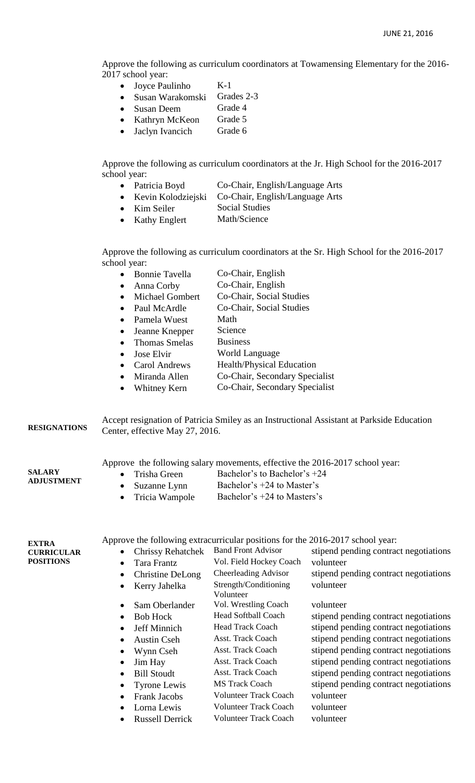Approve the following as curriculum coordinators at Towamensing Elementary for the 2016- 2017 school year:

- $\bullet$  Joyce Paulinho K-1
- Susan Warakomski Grades 2-3
- Susan Deem Grade 4
- Kathryn McKeon Grade 5
- Jaclyn Ivancich Grade 6

Approve the following as curriculum coordinators at the Jr. High School for the 2016-2017 school year:

- Patricia Boyd Co-Chair, English/Language Arts
- Kevin Kolodziejski Co-Chair, English/Language Arts
- Kim Seiler Social Studies
- Kathy Englert Math/Science

Approve the following as curriculum coordinators at the Sr. High School for the 2016-2017 school year:

|  | <b>Bonnie Tavella</b> | Co-Chair, English |
|--|-----------------------|-------------------|
|--|-----------------------|-------------------|

- Anna Corby Co-Chair, English
- Michael Gombert Co-Chair, Social Studies
- Paul McArdle Co-Chair, Social Studies
- Pamela Wuest Math
	- Jeanne Knepper Science
- Thomas Smelas Business
- Jose Elvir World Language
- Carol Andrews Health/Physical Education
- Miranda Allen Co-Chair, Secondary Specialist
- Whitney Kern Co-Chair, Secondary Specialist

**RESIGNATIONS** Accept resignation of Patricia Smiley as an Instructional Assistant at Parkside Education Center, effective May 27, 2016.

Approve the following salary movements, effective the 2016-2017 school year:

- Trisha Green Bachelor's to Bachelor's +24
	- Suzanne Lynn Bachelor's +24 to Master's
		-
	- Tricia Wampole Bachelor's +24 to Masters's

**EXTRA CURRICULAR POSITIONS**

**SALARY ADJUSTMENT**

Approve the following extracurricular positions for the 2016-2017 school year:

| <b>Chrissy Rehatchek</b><br>$\bullet$ | <b>Band Front Advisor</b>    | stipend pending contract negotiations |
|---------------------------------------|------------------------------|---------------------------------------|
| Tara Frantz<br>$\bullet$              | Vol. Field Hockey Coach      | volunteer                             |
| Christine DeLong<br>$\bullet$         | Cheerleading Advisor         | stipend pending contract negotiations |
| Kerry Jahelka<br>$\bullet$            | Strength/Conditioning        | volunteer                             |
|                                       | Volunteer                    |                                       |
| Sam Oberlander<br>$\bullet$           | Vol. Wrestling Coach         | volunteer                             |
| <b>Bob Hock</b><br>$\bullet$          | <b>Head Softball Coach</b>   | stipend pending contract negotiations |
| Jeff Minnich<br>$\bullet$             | <b>Head Track Coach</b>      | stipend pending contract negotiations |
| <b>Austin Cseh</b><br>$\bullet$       | Asst. Track Coach            | stipend pending contract negotiations |
| Wynn Cseh<br>$\bullet$                | Asst. Track Coach            | stipend pending contract negotiations |
| Jim Hay<br>$\bullet$                  | Asst. Track Coach            | stipend pending contract negotiations |
| <b>Bill Stoudt</b><br>$\bullet$       | Asst. Track Coach            | stipend pending contract negotiations |
| <b>Tyrone Lewis</b><br>$\bullet$      | <b>MS</b> Track Coach        | stipend pending contract negotiations |
| <b>Frank Jacobs</b><br>$\bullet$      | <b>Volunteer Track Coach</b> | volunteer                             |
| Lorna Lewis<br>$\bullet$              | <b>Volunteer Track Coach</b> | volunteer                             |
| <b>Russell Derrick</b><br>$\bullet$   | <b>Volunteer Track Coach</b> | volunteer                             |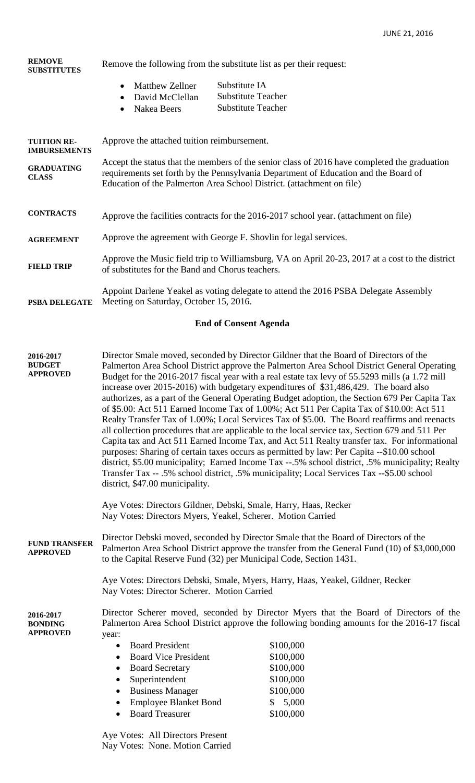| <b>REMOVE</b><br><b>SUBSTITUTES</b>       | Remove the following from the substitute list as per their request:                                                                                                                                                                                          |  |
|-------------------------------------------|--------------------------------------------------------------------------------------------------------------------------------------------------------------------------------------------------------------------------------------------------------------|--|
|                                           | Substitute IA<br><b>Matthew Zellner</b><br>$\bullet$<br><b>Substitute Teacher</b><br>David McClellan<br>$\bullet$                                                                                                                                            |  |
|                                           | <b>Substitute Teacher</b><br>Nakea Beers<br>$\bullet$                                                                                                                                                                                                        |  |
| <b>TUITION RE-</b><br><b>IMBURSEMENTS</b> | Approve the attached tuition reimbursement.                                                                                                                                                                                                                  |  |
| <b>GRADUATING</b><br><b>CLASS</b>         | Accept the status that the members of the senior class of 2016 have completed the graduation<br>requirements set forth by the Pennsylvania Department of Education and the Board of<br>Education of the Palmerton Area School District. (attachment on file) |  |
| <b>CONTRACTS</b>                          | Approve the facilities contracts for the 2016-2017 school year. (attachment on file)                                                                                                                                                                         |  |
| <b>AGREEMENT</b>                          | Approve the agreement with George F. Shovlin for legal services.                                                                                                                                                                                             |  |
| <b>FIELD TRIP</b>                         | Approve the Music field trip to Williamsburg, VA on April 20-23, 2017 at a cost to the district<br>of substitutes for the Band and Chorus teachers.                                                                                                          |  |
| PSBA DELEGATE                             | Appoint Darlene Yeakel as voting delegate to attend the 2016 PSBA Delegate Assembly<br>Meeting on Saturday, October 15, 2016.                                                                                                                                |  |

# **End of Consent Agenda**

| 2016-2017<br><b>BUDGET</b><br><b>APPROVED</b>  | Director Smale moved, seconded by Director Gildner that the Board of Directors of the<br>district, \$47.00 municipality.<br>Aye Votes: Directors Gildner, Debski, Smale, Harry, Haas, Recker                                                                | Palmerton Area School District approve the Palmerton Area School District General Operating<br>Budget for the 2016-2017 fiscal year with a real estate tax levy of 55.5293 mills (a 1.72 mill<br>increase over 2015-2016) with budgetary expenditures of \$31,486,429. The board also<br>authorizes, as a part of the General Operating Budget adoption, the Section 679 Per Capita Tax<br>of \$5.00: Act 511 Earned Income Tax of 1.00%; Act 511 Per Capita Tax of \$10.00: Act 511<br>Realty Transfer Tax of 1.00%; Local Services Tax of \$5.00. The Board reaffirms and reenacts<br>all collection procedures that are applicable to the local service tax, Section 679 and 511 Per<br>Capita tax and Act 511 Earned Income Tax, and Act 511 Realty transfer tax. For informational<br>purposes: Sharing of certain taxes occurs as permitted by law: Per Capita --\$10.00 school<br>district, \$5.00 municipality; Earned Income Tax --.5% school district, .5% municipality; Realty<br>Transfer Tax -- .5% school district, .5% municipality; Local Services Tax --\$5.00 school |
|------------------------------------------------|-------------------------------------------------------------------------------------------------------------------------------------------------------------------------------------------------------------------------------------------------------------|----------------------------------------------------------------------------------------------------------------------------------------------------------------------------------------------------------------------------------------------------------------------------------------------------------------------------------------------------------------------------------------------------------------------------------------------------------------------------------------------------------------------------------------------------------------------------------------------------------------------------------------------------------------------------------------------------------------------------------------------------------------------------------------------------------------------------------------------------------------------------------------------------------------------------------------------------------------------------------------------------------------------------------------------------------------------------------------|
|                                                | Nay Votes: Directors Myers, Yeakel, Scherer. Motion Carried                                                                                                                                                                                                 |                                                                                                                                                                                                                                                                                                                                                                                                                                                                                                                                                                                                                                                                                                                                                                                                                                                                                                                                                                                                                                                                                        |
| <b>FUND TRANSFER</b><br><b>APPROVED</b>        | Director Debski moved, seconded by Director Smale that the Board of Directors of the<br>Palmerton Area School District approve the transfer from the General Fund (10) of \$3,000,000<br>to the Capital Reserve Fund (32) per Municipal Code, Section 1431. |                                                                                                                                                                                                                                                                                                                                                                                                                                                                                                                                                                                                                                                                                                                                                                                                                                                                                                                                                                                                                                                                                        |
|                                                | Aye Votes: Directors Debski, Smale, Myers, Harry, Haas, Yeakel, Gildner, Recker<br>Nay Votes: Director Scherer. Motion Carried                                                                                                                              |                                                                                                                                                                                                                                                                                                                                                                                                                                                                                                                                                                                                                                                                                                                                                                                                                                                                                                                                                                                                                                                                                        |
| 2016-2017<br><b>BONDING</b><br><b>APPROVED</b> | Director Scherer moved, seconded by Director Myers that the Board of Directors of the<br>Palmerton Area School District approve the following bonding amounts for the 2016-17 fiscal<br>year:                                                               |                                                                                                                                                                                                                                                                                                                                                                                                                                                                                                                                                                                                                                                                                                                                                                                                                                                                                                                                                                                                                                                                                        |
|                                                | <b>Board President</b><br>$\bullet$                                                                                                                                                                                                                         | \$100,000                                                                                                                                                                                                                                                                                                                                                                                                                                                                                                                                                                                                                                                                                                                                                                                                                                                                                                                                                                                                                                                                              |
|                                                | <b>Board Vice President</b><br>$\bullet$                                                                                                                                                                                                                    | \$100,000                                                                                                                                                                                                                                                                                                                                                                                                                                                                                                                                                                                                                                                                                                                                                                                                                                                                                                                                                                                                                                                                              |
|                                                | <b>Board Secretary</b><br>$\bullet$                                                                                                                                                                                                                         | \$100,000                                                                                                                                                                                                                                                                                                                                                                                                                                                                                                                                                                                                                                                                                                                                                                                                                                                                                                                                                                                                                                                                              |
|                                                | Superintendent<br>$\bullet$                                                                                                                                                                                                                                 | \$100,000                                                                                                                                                                                                                                                                                                                                                                                                                                                                                                                                                                                                                                                                                                                                                                                                                                                                                                                                                                                                                                                                              |
|                                                | <b>Business Manager</b><br>$\bullet$                                                                                                                                                                                                                        | \$100,000                                                                                                                                                                                                                                                                                                                                                                                                                                                                                                                                                                                                                                                                                                                                                                                                                                                                                                                                                                                                                                                                              |
|                                                | <b>Employee Blanket Bond</b>                                                                                                                                                                                                                                | \$5,000                                                                                                                                                                                                                                                                                                                                                                                                                                                                                                                                                                                                                                                                                                                                                                                                                                                                                                                                                                                                                                                                                |
|                                                | <b>Board Treasurer</b>                                                                                                                                                                                                                                      | \$100,000                                                                                                                                                                                                                                                                                                                                                                                                                                                                                                                                                                                                                                                                                                                                                                                                                                                                                                                                                                                                                                                                              |

Aye Votes: All Directors Present Nay Votes: None. Motion Carried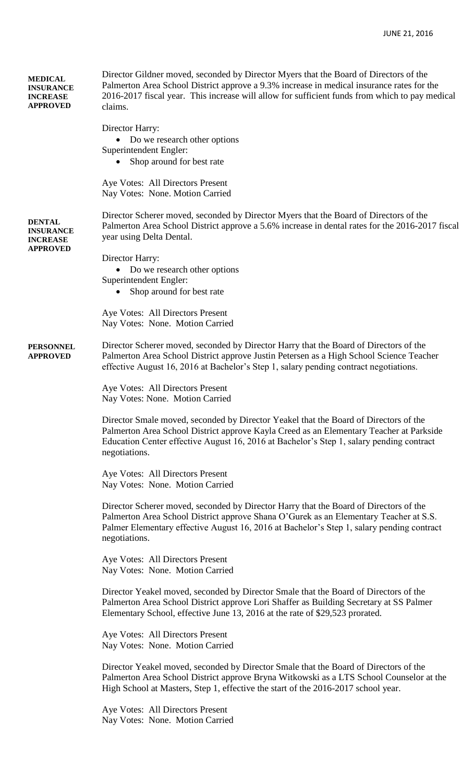| <b>MEDICAL</b><br><b>INSURANCE</b><br><b>INCREASE</b><br><b>APPROVED</b> | Director Gildner moved, seconded by Director Myers that the Board of Directors of the<br>Palmerton Area School District approve a 9.3% increase in medical insurance rates for the<br>2016-2017 fiscal year. This increase will allow for sufficient funds from which to pay medical<br>claims.<br>Director Harry:<br>Do we research other options |
|--------------------------------------------------------------------------|----------------------------------------------------------------------------------------------------------------------------------------------------------------------------------------------------------------------------------------------------------------------------------------------------------------------------------------------------|
|                                                                          | Superintendent Engler:<br>Shop around for best rate<br>Aye Votes: All Directors Present<br>Nay Votes: None. Motion Carried                                                                                                                                                                                                                         |
| <b>DENTAL</b><br><b>INSURANCE</b><br><b>INCREASE</b><br><b>APPROVED</b>  | Director Scherer moved, seconded by Director Myers that the Board of Directors of the<br>Palmerton Area School District approve a 5.6% increase in dental rates for the 2016-2017 fiscal<br>year using Delta Dental.                                                                                                                               |
|                                                                          | Director Harry:<br>Do we research other options<br>Superintendent Engler:<br>Shop around for best rate<br>$\bullet$                                                                                                                                                                                                                                |
|                                                                          | Aye Votes: All Directors Present<br>Nay Votes: None. Motion Carried                                                                                                                                                                                                                                                                                |
| <b>PERSONNEL</b><br><b>APPROVED</b>                                      | Director Scherer moved, seconded by Director Harry that the Board of Directors of the<br>Palmerton Area School District approve Justin Petersen as a High School Science Teacher<br>effective August 16, 2016 at Bachelor's Step 1, salary pending contract negotiations.                                                                          |
|                                                                          | Aye Votes: All Directors Present<br>Nay Votes: None. Motion Carried                                                                                                                                                                                                                                                                                |
|                                                                          | Director Smale moved, seconded by Director Yeakel that the Board of Directors of the<br>Palmerton Area School District approve Kayla Creed as an Elementary Teacher at Parkside<br>Education Center effective August 16, 2016 at Bachelor's Step 1, salary pending contract<br>negotiations.                                                       |
|                                                                          | Aye Votes: All Directors Present<br>Nay Votes: None. Motion Carried                                                                                                                                                                                                                                                                                |
|                                                                          | Director Scherer moved, seconded by Director Harry that the Board of Directors of the<br>Palmerton Area School District approve Shana O'Gurek as an Elementary Teacher at S.S.<br>Palmer Elementary effective August 16, 2016 at Bachelor's Step 1, salary pending contract<br>negotiations.                                                       |
|                                                                          | Aye Votes: All Directors Present<br>Nay Votes: None. Motion Carried                                                                                                                                                                                                                                                                                |
|                                                                          | Director Yeakel moved, seconded by Director Smale that the Board of Directors of the<br>Palmerton Area School District approve Lori Shaffer as Building Secretary at SS Palmer<br>Elementary School, effective June 13, 2016 at the rate of \$29,523 prorated.                                                                                     |
|                                                                          | Aye Votes: All Directors Present<br>Nay Votes: None. Motion Carried                                                                                                                                                                                                                                                                                |
|                                                                          | Director Yeakel moved, seconded by Director Smale that the Board of Directors of the<br>Palmerton Area School District approve Bryna Witkowski as a LTS School Counselor at the<br>High School at Masters, Step 1, effective the start of the 2016-2017 school year.                                                                               |
|                                                                          | Aye Votes: All Directors Present<br>Nay Votes: None. Motion Carried                                                                                                                                                                                                                                                                                |